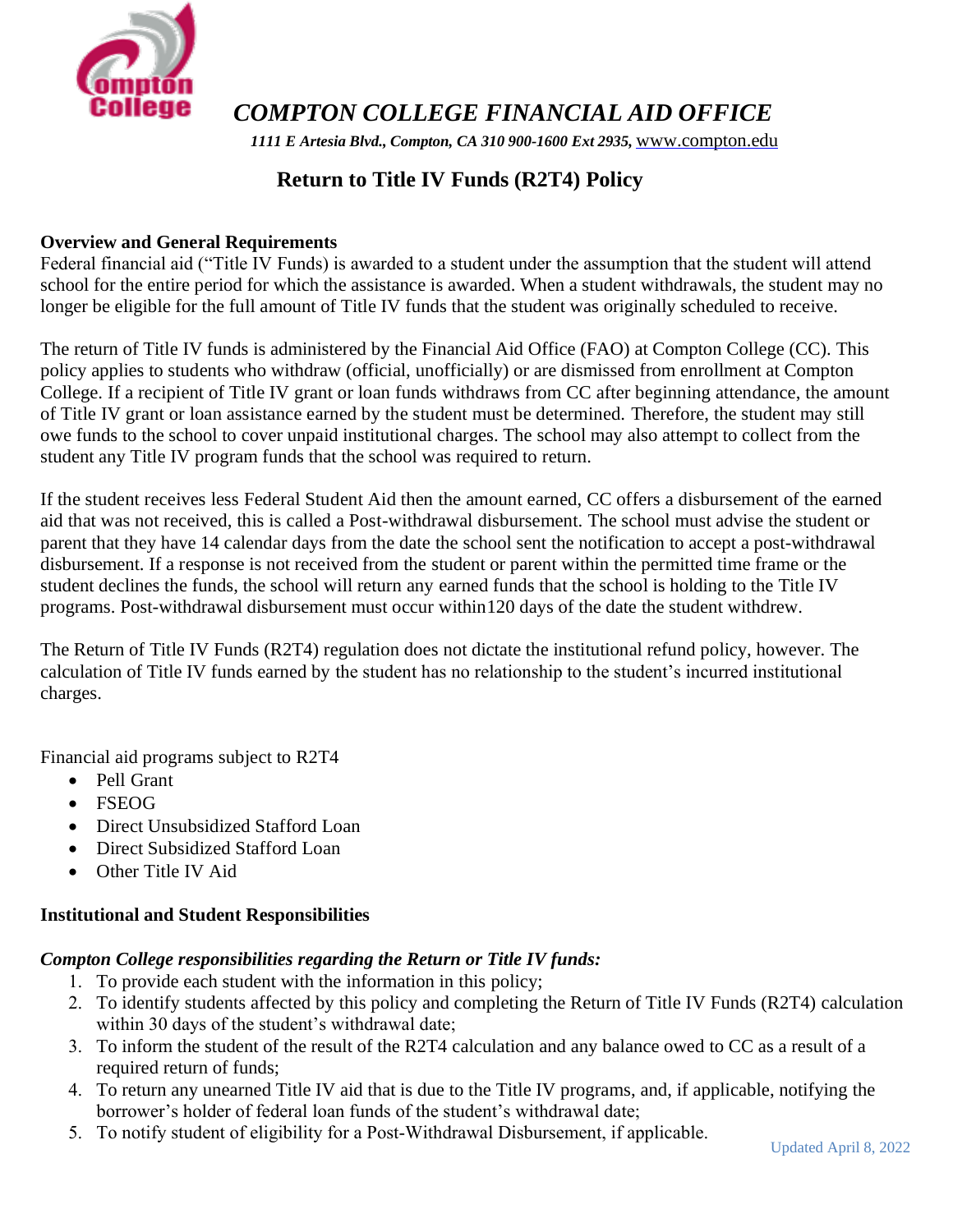

*COMPTON COLLEGE FINANCIAL AID OFFICE*

*1111 E Artesia Blvd., Compton, CA 310 900-1600 Ext 2935,* [www.compton.edu](http://www.compton.edu/)

# **Return to Title IV Funds (R2T4) Policy**

### **Overview and General Requirements**

Federal financial aid ("Title IV Funds) is awarded to a student under the assumption that the student will attend school for the entire period for which the assistance is awarded. When a student withdrawals, the student may no longer be eligible for the full amount of Title IV funds that the student was originally scheduled to receive.

The return of Title IV funds is administered by the Financial Aid Office (FAO) at Compton College (CC). This policy applies to students who withdraw (official, unofficially) or are dismissed from enrollment at Compton College. If a recipient of Title IV grant or loan funds withdraws from CC after beginning attendance, the amount of Title IV grant or loan assistance earned by the student must be determined. Therefore, the student may still owe funds to the school to cover unpaid institutional charges. The school may also attempt to collect from the student any Title IV program funds that the school was required to return.

If the student receives less Federal Student Aid then the amount earned, CC offers a disbursement of the earned aid that was not received, this is called a Post-withdrawal disbursement. The school must advise the student or parent that they have 14 calendar days from the date the school sent the notification to accept a post-withdrawal disbursement. If a response is not received from the student or parent within the permitted time frame or the student declines the funds, the school will return any earned funds that the school is holding to the Title IV programs. Post-withdrawal disbursement must occur within120 days of the date the student withdrew.

The Return of Title IV Funds (R2T4) regulation does not dictate the institutional refund policy, however. The calculation of Title IV funds earned by the student has no relationship to the student's incurred institutional charges.

Financial aid programs subject to R2T4

- Pell Grant
- FSEOG
- Direct Unsubsidized Stafford Loan
- Direct Subsidized Stafford Loan
- Other Title IV Aid

# **Institutional and Student Responsibilities**

### *Compton College responsibilities regarding the Return or Title IV funds:*

- 1. To provide each student with the information in this policy;
- 2. To identify students affected by this policy and completing the Return of Title IV Funds (R2T4) calculation within 30 days of the student's withdrawal date;
- 3. To inform the student of the result of the R2T4 calculation and any balance owed to CC as a result of a required return of funds;
- 4. To return any unearned Title IV aid that is due to the Title IV programs, and, if applicable, notifying the borrower's holder of federal loan funds of the student's withdrawal date;
- 5. To notify student of eligibility for a Post-Withdrawal Disbursement, if applicable.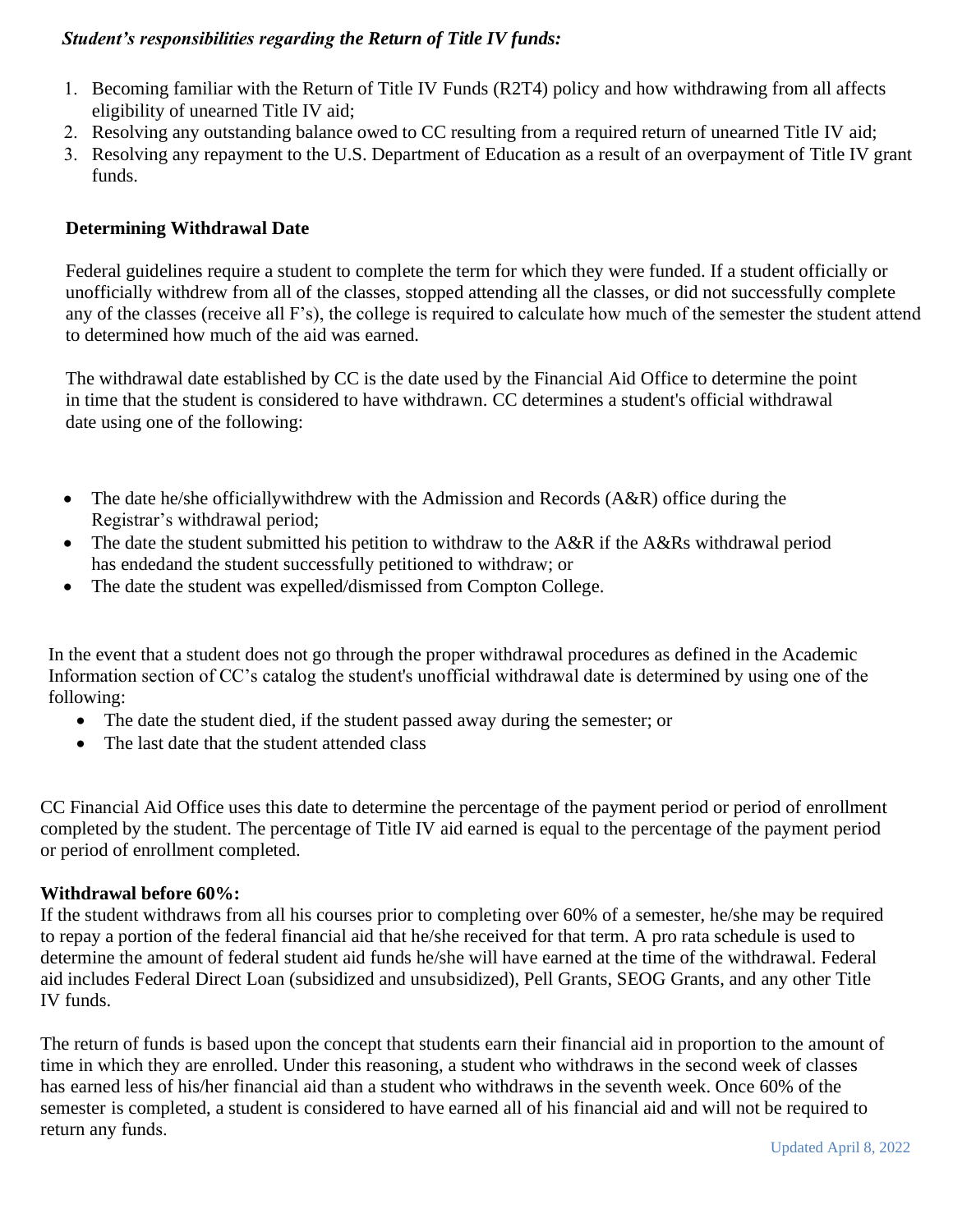### *Student's responsibilities regarding the Return of Title IV funds:*

- 1. Becoming familiar with the Return of Title IV Funds (R2T4) policy and how withdrawing from all affects eligibility of unearned Title IV aid;
- 2. Resolving any outstanding balance owed to CC resulting from a required return of unearned Title IV aid;
- 3. Resolving any repayment to the U.S. Department of Education as a result of an overpayment of Title IV grant funds.

### **Determining Withdrawal Date**

Federal guidelines require a student to complete the term for which they were funded. If a student officially or unofficially withdrew from all of the classes, stopped attending all the classes, or did not successfully complete any of the classes (receive all F's), the college is required to calculate how much of the semester the student attend to determined how much of the aid was earned.

The withdrawal date established by CC is the date used by the Financial Aid Office to determine the point in time that the student is considered to have withdrawn. CC determines a student's official withdrawal date using one of the following:

- The date he/she officially with drew with the Admission and Records (A&R) office during the Registrar's withdrawal period;
- The date the student submitted his petition to withdraw to the A&R if the A&Rs withdrawal period has endedand the student successfully petitioned to withdraw; or
- The date the student was expelled/dismissed from Compton College.

In the event that a student does not go through the proper withdrawal procedures as defined in the Academic Information section of CC's catalog the student's unofficial withdrawal date is determined by using one of the following:

- The date the student died, if the student passed away during the semester; or
- The last date that the student attended class

CC Financial Aid Office uses this date to determine the percentage of the payment period or period of enrollment completed by the student. The percentage of Title IV aid earned is equal to the percentage of the payment period or period of enrollment completed.

### **Withdrawal before 60%:**

If the student withdraws from all his courses prior to completing over 60% of a semester, he/she may be required to repay a portion of the federal financial aid that he/she received for that term. A pro rata schedule is used to determine the amount of federal student aid funds he/she will have earned at the time of the withdrawal. Federal aid includes Federal Direct Loan (subsidized and unsubsidized), Pell Grants, SEOG Grants, and any other Title IV funds.

The return of funds is based upon the concept that students earn their financial aid in proportion to the amount of time in which they are enrolled. Under this reasoning, a student who withdraws in the second week of classes has earned less of his/her financial aid than a student who withdraws in the seventh week. Once 60% of the semester is completed, a student is considered to have earned all of his financial aid and will not be required to return any funds.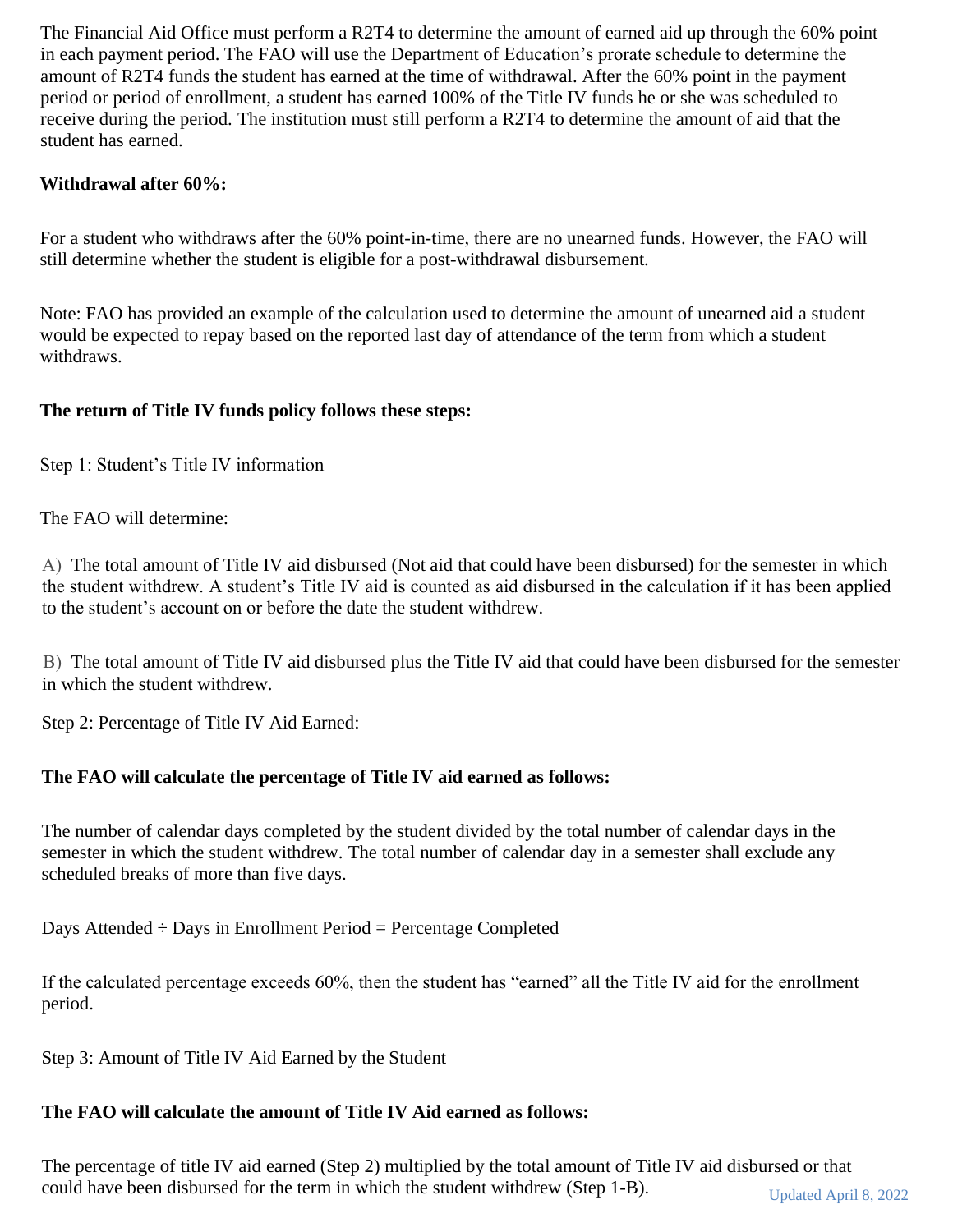The Financial Aid Office must perform a R2T4 to determine the amount of earned aid up through the 60% point in each payment period. The FAO will use the Department of Education's prorate schedule to determine the amount of R2T4 funds the student has earned at the time of withdrawal. After the 60% point in the payment period or period of enrollment, a student has earned 100% of the Title IV funds he or she was scheduled to receive during the period. The institution must still perform a R2T4 to determine the amount of aid that the student has earned.

# **Withdrawal after 60%:**

For a student who withdraws after the 60% point-in-time, there are no unearned funds. However, the FAO will still determine whether the student is eligible for a post-withdrawal disbursement.

Note: FAO has provided an example of the calculation used to determine the amount of unearned aid a student would be expected to repay based on the reported last day of attendance of the term from which a student withdraws.

# **The return of Title IV funds policy follows these steps:**

Step 1: Student's Title IV information

The FAO will determine:

A) The total amount of Title IV aid disbursed (Not aid that could have been disbursed) for the semester in which the student withdrew. A student's Title IV aid is counted as aid disbursed in the calculation if it has been applied to the student's account on or before the date the student withdrew.

B) The total amount of Title IV aid disbursed plus the Title IV aid that could have been disbursed for the semester in which the student withdrew.

Step 2: Percentage of Title IV Aid Earned:

# **The FAO will calculate the percentage of Title IV aid earned as follows:**

The number of calendar days completed by the student divided by the total number of calendar days in the semester in which the student withdrew. The total number of calendar day in a semester shall exclude any scheduled breaks of more than five days.

Days Attended  $\div$  Days in Enrollment Period = Percentage Completed

If the calculated percentage exceeds 60%, then the student has "earned" all the Title IV aid for the enrollment period.

Step 3: Amount of Title IV Aid Earned by the Student

# **The FAO will calculate the amount of Title IV Aid earned as follows:**

Updated April 8, 2022 The percentage of title IV aid earned (Step 2) multiplied by the total amount of Title IV aid disbursed or that could have been disbursed for the term in which the student withdrew (Step 1-B).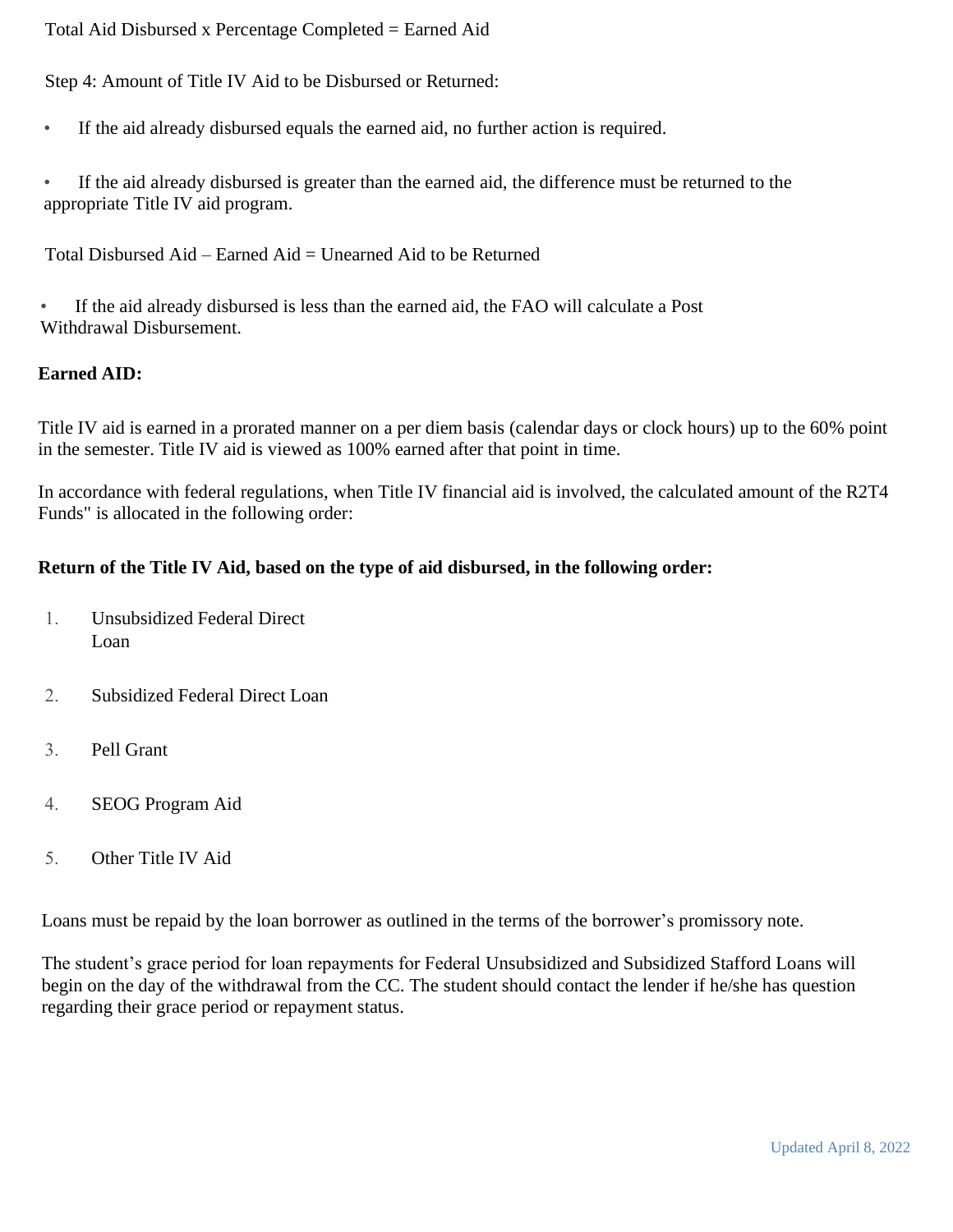Total Aid Disbursed x Percentage Completed = Earned Aid

Step 4: Amount of Title IV Aid to be Disbursed or Returned:

• If the aid already disbursed equals the earned aid, no further action is required.

• If the aid already disbursed is greater than the earned aid, the difference must be returned to the appropriate Title IV aid program.

Total Disbursed Aid – Earned Aid = Unearned Aid to be Returned

• If the aid already disbursed is less than the earned aid, the FAO will calculate a Post Withdrawal Disbursement.

### **Earned AID:**

Title IV aid is earned in a prorated manner on a per diem basis (calendar days or clock hours) up to the 60% point in the semester. Title IV aid is viewed as 100% earned after that point in time.

In accordance with federal regulations, when Title IV financial aid is involved, the calculated amount of the R2T4 Funds" is allocated in the following order:

### **Return of the Title IV Aid, based on the type of aid disbursed, in the following order:**

- 1. Unsubsidized Federal Direct Loan
- 2. Subsidized Federal Direct Loan
- 3. Pell Grant
- 4. SEOG Program Aid
- 5. Other Title IV Aid

Loans must be repaid by the loan borrower as outlined in the terms of the borrower's promissory note.

The student's grace period for loan repayments for Federal Unsubsidized and Subsidized Stafford Loans will begin on the day of the withdrawal from the CC. The student should contact the lender if he/she has question regarding their grace period or repayment status.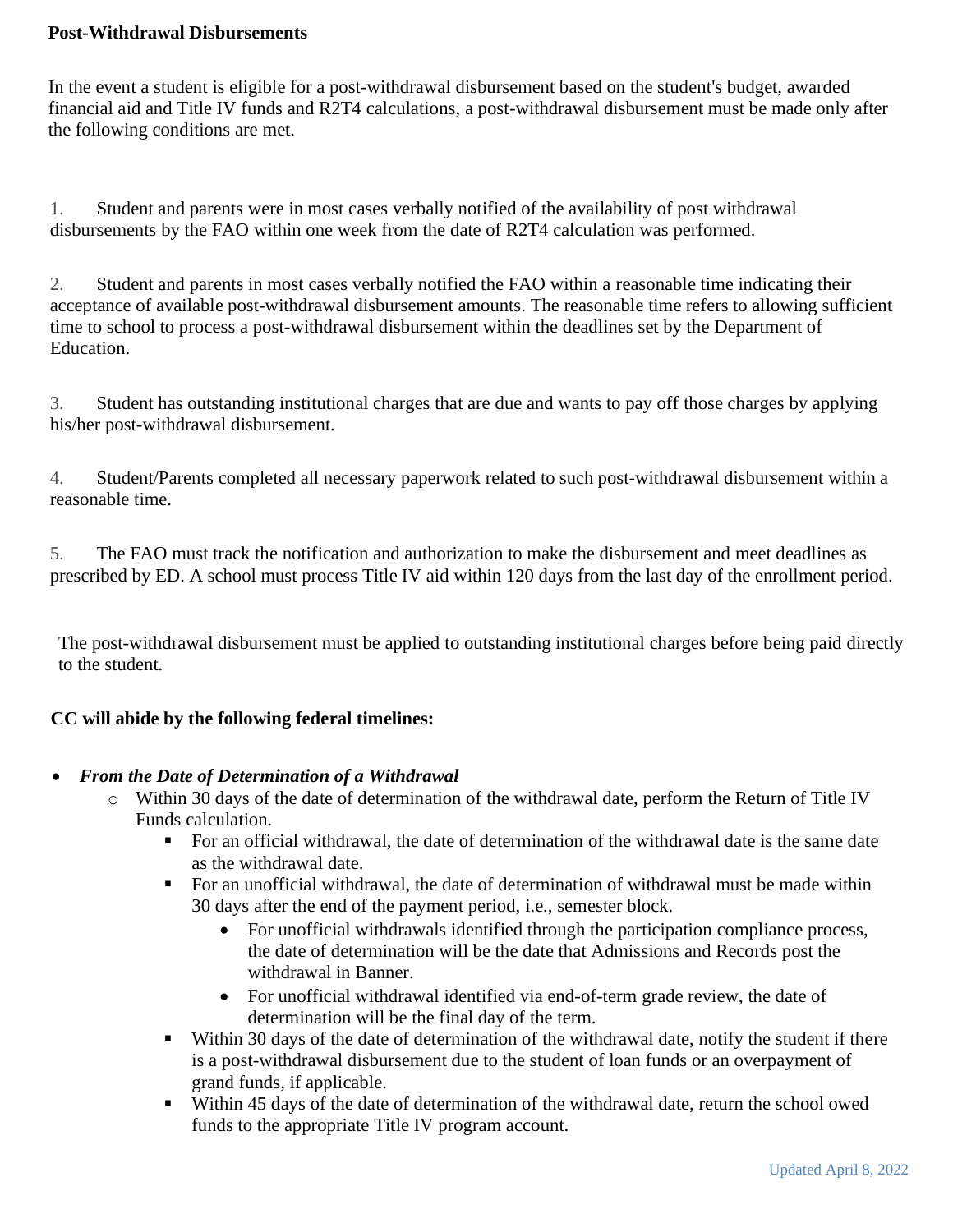### **Post-Withdrawal Disbursements**

In the event a student is eligible for a post-withdrawal disbursement based on the student's budget, awarded financial aid and Title IV funds and R2T4 calculations, a post-withdrawal disbursement must be made only after the following conditions are met.

1. Student and parents were in most cases verbally notified of the availability of post withdrawal disbursements by the FAO within one week from the date of R2T4 calculation was performed.

2. Student and parents in most cases verbally notified the FAO within a reasonable time indicating their acceptance of available post-withdrawal disbursement amounts. The reasonable time refers to allowing sufficient time to school to process a post-withdrawal disbursement within the deadlines set by the Department of Education.

3. Student has outstanding institutional charges that are due and wants to pay off those charges by applying his/her post-withdrawal disbursement.

4. Student/Parents completed all necessary paperwork related to such post-withdrawal disbursement within a reasonable time.

5. The FAO must track the notification and authorization to make the disbursement and meet deadlines as prescribed by ED. A school must process Title IV aid within 120 days from the last day of the enrollment period.

The post-withdrawal disbursement must be applied to outstanding institutional charges before being paid directly to the student.

# **CC will abide by the following federal timelines:**

# • *From the Date of Determination of a Withdrawal*

- o Within 30 days of the date of determination of the withdrawal date, perform the Return of Title IV Funds calculation.
	- For an official withdrawal, the date of determination of the withdrawal date is the same date as the withdrawal date.
	- For an unofficial withdrawal, the date of determination of withdrawal must be made within 30 days after the end of the payment period, i.e., semester block.
		- For unofficial withdrawals identified through the participation compliance process, the date of determination will be the date that Admissions and Records post the withdrawal in Banner.
		- For unofficial withdrawal identified via end-of-term grade review, the date of determination will be the final day of the term.
	- Within 30 days of the date of determination of the withdrawal date, notify the student if there is a post-withdrawal disbursement due to the student of loan funds or an overpayment of grand funds, if applicable.
	- Within 45 days of the date of determination of the withdrawal date, return the school owed funds to the appropriate Title IV program account.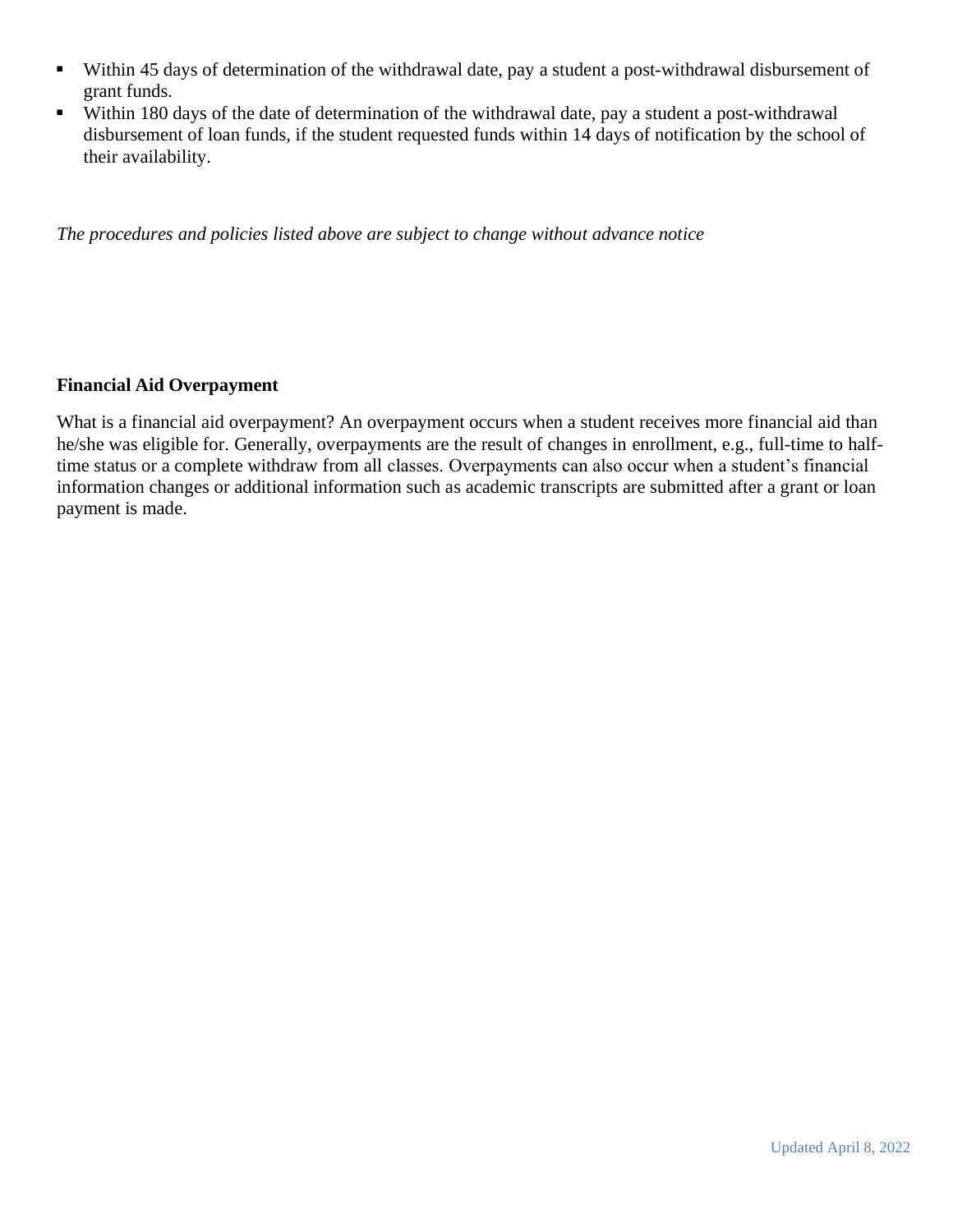- Within 45 days of determination of the withdrawal date, pay a student a post-withdrawal disbursement of grant funds.
- Within 180 days of the date of determination of the withdrawal date, pay a student a post-withdrawal disbursement of loan funds, if the student requested funds within 14 days of notification by the school of their availability.

*The procedures and policies listed above are subject to change without advance notice* 

### **Financial Aid Overpayment**

What is a financial aid overpayment? An overpayment occurs when a student receives more financial aid than he/she was eligible for. Generally, overpayments are the result of changes in enrollment, e.g., full-time to halftime status or a complete withdraw from all classes. Overpayments can also occur when a student's financial information changes or additional information such as academic transcripts are submitted after a grant or loan payment is made.